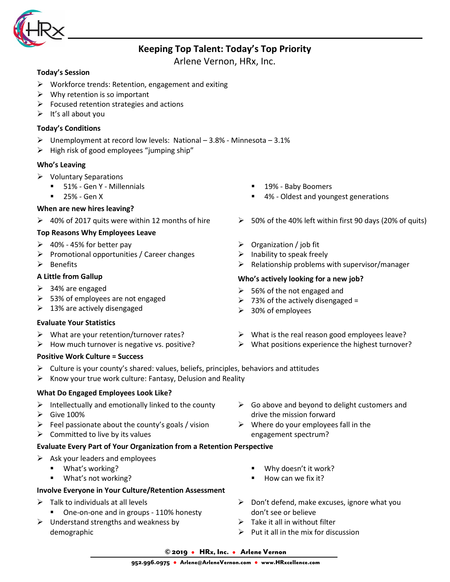

# **Keeping Top Talent: Today's Top Priority**

Arlene Vernon, HRx, Inc.

#### **Today's Session**

- $\triangleright$  Workforce trends: Retention, engagement and exiting
- $\triangleright$  Why retention is so important
- $\triangleright$  Focused retention strategies and actions
- $\triangleright$  It's all about you

# **Today's Conditions**

- $\triangleright$  Unemployment at record low levels: National 3.8% Minnesota 3.1%
- $\triangleright$  High risk of good employees "jumping ship"

# **Who's Leaving**

- $\triangleright$  Voluntary Separations
	- 51% Gen Y Millennials
	- $-25% GenX$

# **When are new hires leaving?**

# **Top Reasons Why Employees Leave**

- $\geq 40\%$  45% for better pay
- $\triangleright$  Promotional opportunities / Career changes
- $\triangleright$  Benefits

# **A Little from Gallup**

- $\geq$  34% are engaged
- $>$  53% of employees are not engaged
- $\geq$  13% are actively disengaged

#### **Evaluate Your Statistics**

- $\triangleright$  What are your retention/turnover rates?
- $\triangleright$  How much turnover is negative vs. positive?

#### **Positive Work Culture = Success**

- $\triangleright$  Culture is your county's shared: values, beliefs, principles, behaviors and attitudes
- $\triangleright$  Know your true work culture: Fantasy, Delusion and Reality

# **What Do Engaged Employees Look Like?**

- $\triangleright$  Intellectually and emotionally linked to the county
- $\triangleright$  Give 100%
- $\triangleright$  Feel passionate about the county's goals / vision
- $\triangleright$  Committed to live by its values

# **Evaluate Every Part of Your Organization from a Retention Perspective**

- $\triangleright$  Ask your leaders and employees
	- What's working?
	- What's not working?

# **Involve Everyone in Your Culture/Retention Assessment**

- $\triangleright$  Talk to individuals at all levels
	- One-on-one and in groups 110% honesty
- $\triangleright$  Understand strengths and weakness by demographic
- $\triangleright$  Go above and beyond to delight customers and drive the mission forward
- $\triangleright$  Where do your employees fall in the engagement spectrum?
	- Why doesn't it work?
	- $How can we fix it?$
- $\triangleright$  Don't defend, make excuses, ignore what you don't see or believe
- $\triangleright$  Take it all in without filter
- $\triangleright$  Put it all in the mix for discussion

#### © 2019 • HRx, Inc. • Arlene Vernon

- 19% Baby Boomers
- 4% Oldest and youngest generations
- ▶ 40% of 2017 quits were within 12 months of hire  $\rightarrow$  50% of the 40% left within first 90 days (20% of quits)
	- $\triangleright$  Organization / job fit
	- $\triangleright$  Inability to speak freely
	- $\triangleright$  Relationship problems with supervisor/manager

#### **Who's actively looking for a new job?**

- $\geq$  56% of the not engaged and
- $\geq$  73% of the actively disengaged =
- $\geq$  30% of employees

#### $\triangleright$  What is the real reason good employees leave?  $\triangleright$  What positions experience the highest turnover?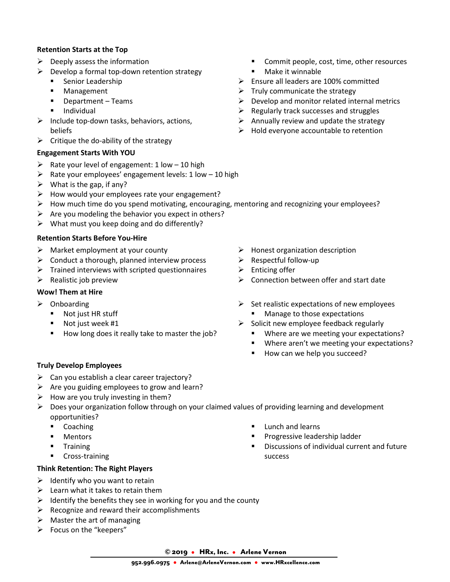#### **Retention Starts at the Top**

- $\triangleright$  Deeply assess the information
- $\triangleright$  Develop a formal top-down retention strategy
	- **Senior Leadership**
	- **Management**
	- **•** Department Teams
	- **Individual**
- $\triangleright$  Include top-down tasks, behaviors, actions, beliefs
- $\triangleright$  Critique the do-ability of the strategy

#### **Engagement Starts With YOU**

- $\triangleright$  Rate your level of engagement: 1 low 10 high
- $\triangleright$  Rate your employees' engagement levels: 1 low 10 high
- $\triangleright$  What is the gap, if any?
- $\triangleright$  How would your employees rate your engagement?
- $\triangleright$  How much time do you spend motivating, encouraging, mentoring and recognizing your employees?
- $\triangleright$  Are you modeling the behavior you expect in others?
- $\triangleright$  What must you keep doing and do differently?

#### **Retention Starts Before You-Hire**

- $\triangleright$  Market employment at your county
- $\triangleright$  Conduct a thorough, planned interview process
- $\triangleright$  Trained interviews with scripted questionnaires
- $\triangleright$  Realistic job preview

### **Wow! Them at Hire**

- $\triangleright$  Onboarding
	- Not just HR stuff
	- **Not just week #1**
	- How long does it really take to master the job?
- **•** Commit people, cost, time, other resources **Nake it winnable**
- $\triangleright$  Ensure all leaders are 100% committed
- $\triangleright$  Truly communicate the strategy
- $\triangleright$  Develop and monitor related internal metrics
- $\triangleright$  Regularly track successes and struggles
- $\triangleright$  Annually review and update the strategy
- $\triangleright$  Hold everyone accountable to retention

- $\triangleright$  Honest organization description
- $\triangleright$  Respectful follow-up
- $\triangleright$  Enticing offer
- $\triangleright$  Connection between offer and start date
- $\triangleright$  Set realistic expectations of new employees Manage to those expectations
- $\triangleright$  Solicit new employee feedback regularly
	- **Where are we meeting your expectations?**
	- **Where aren't we meeting your expectations?**
	- How can we help you succeed?

#### **Truly Develop Employees**

- $\triangleright$  Can you establish a clear career trajectory?
- $\triangleright$  Are you guiding employees to grow and learn?
- $\triangleright$  How are you truly investing in them?
- $\triangleright$  Does your organization follow through on your claimed values of providing learning and development opportunities?
	- Coaching
	- **-** Mentors
	- **Training**
	- **Cross-training**

# **Think Retention: The Right Players**

- $\triangleright$  Identify who you want to retain
- $\blacktriangleright$  Learn what it takes to retain them
- $\triangleright$  Identify the benefits they see in working for you and the county
- $\triangleright$  Recognize and reward their accomplishments
- $\triangleright$  Master the art of managing
- > Focus on the "keepers"
- **Lunch and learns**
- Progressive leadership ladder
- Discussions of individual current and future success

© 2019 • HRx, Inc. • Arlene Vernon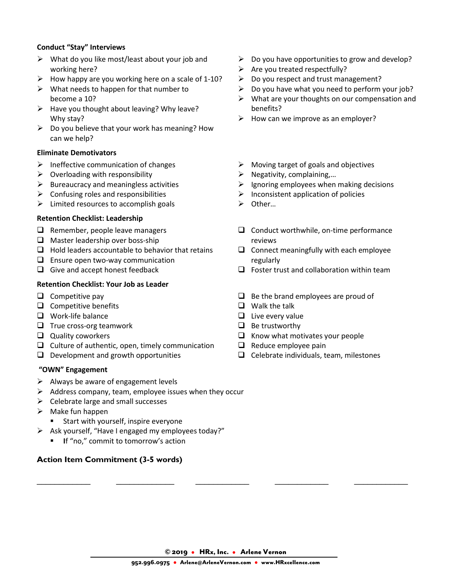#### **Conduct "Stay" Interviews**

- $\triangleright$  What do you like most/least about your job and working here?
- $\triangleright$  How happy are you working here on a scale of 1-10?
- $\triangleright$  What needs to happen for that number to become a 10?
- $\triangleright$  Have you thought about leaving? Why leave? Why stay?
- $\triangleright$  Do you believe that your work has meaning? How can we help?

#### **Eliminate Demotivators**

- $\triangleright$  Ineffective communication of changes
- $\triangleright$  Overloading with responsibility
- $\triangleright$  Bureaucracy and meaningless activities
- $\triangleright$  Confusing roles and responsibilities
- $\triangleright$  Limited resources to accomplish goals

#### **Retention Checklist: Leadership**

- $\Box$  Remember, people leave managers
- $\Box$  Master leadership over boss-ship
- $\Box$  Hold leaders accountable to behavior that retains
- $\Box$  Ensure open two-way communication
- $\Box$  Give and accept honest feedback

### **Retention Checklist: Your Job as Leader**

- $\Box$  Competitive pay
- $\Box$  Competitive benefits
- **Q** Work-life balance
- $\Box$  True cross-org teamwork
- $\Box$  Quality coworkers
- $\Box$  Culture of authentic, open, timely communication
- $\Box$  Development and growth opportunities

#### **"OWN" Engagement**

- $\triangleright$  Always be aware of engagement levels
- $\triangleright$  Address company, team, employee issues when they occur
- $\triangleright$  Celebrate large and small successes
- $\triangleright$  Make fun happen
	- **Start with yourself, inspire everyone**
- $\triangleright$  Ask yourself, "Have I engaged my employees today?"
	- **I** If "no," commit to tomorrow's action

#### **Action Item Commitment (3-5 words)**

- $\triangleright$  Do you have opportunities to grow and develop?
- $\triangleright$  Are you treated respectfully?
- $\triangleright$  Do you respect and trust management?
- Do you have what you need to perform your job?
- $\triangleright$  What are your thoughts on our compensation and benefits?
- $\triangleright$  How can we improve as an employer?
- $\triangleright$  Moving target of goals and objectives
- $\triangleright$  Negativity, complaining,...
- $\triangleright$  Ignoring employees when making decisions
- $\triangleright$  Inconsistent application of policies
- Other…
- $\Box$  Conduct worthwhile, on-time performance reviews
- $\Box$  Connect meaningfully with each employee regularly
- $\Box$  Foster trust and collaboration within team
- $\Box$  Be the brand employees are proud of
- $\Box$  Walk the talk
- $\Box$  Live every value
- $\Box$  Be trustworthy
- $\Box$  Know what motivates your people
- $\Box$  Reduce employee pain
- $\Box$  Celebrate individuals, team, milestones

© 2019 • HRx, Inc. • Arlene Vernon

\_\_\_\_\_\_\_\_\_\_\_\_ \_\_\_\_\_\_\_\_\_\_\_\_\_ \_\_\_\_\_\_\_\_\_\_\_\_ \_\_\_\_\_\_\_\_\_\_\_\_ \_\_\_\_\_\_\_\_\_\_\_\_